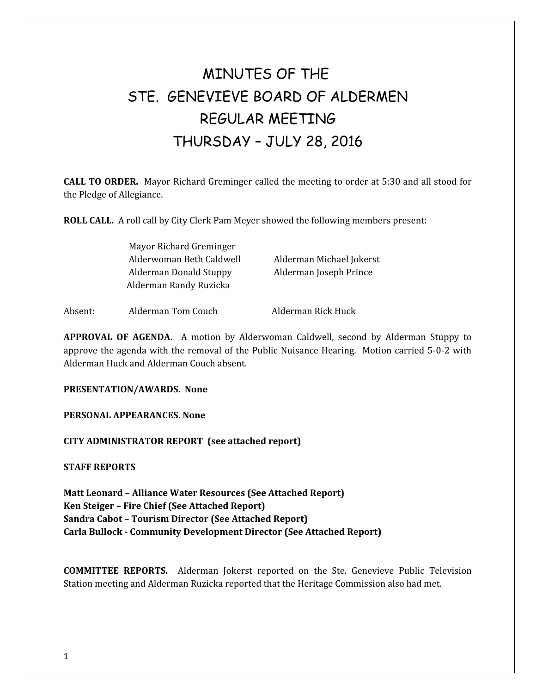# MINUTES OF THE STE. GENEVIEVE BOARD OF ALDERMEN REGULAR MEETING THURSDAY – JULY 28, 2016

**CALL TO ORDER.** Mayor Richard Greminger called the meeting to order at 5:30 and all stood for the Pledge of Allegiance.

**ROLL CALL.** A roll call by City Clerk Pam Meyer showed the following members present:

| Mayor Richard Greminger  |                          |
|--------------------------|--------------------------|
| Alderwoman Beth Caldwell | Alderman Michael Jokerst |
| Alderman Donald Stuppy   | Alderman Joseph Prince   |
| Alderman Randy Ruzicka   |                          |
|                          |                          |

Absent: Alderman Tom Couch Alderman Rick Huck

**APPROVAL OF AGENDA.** A motion by Alderwoman Caldwell, second by Alderman Stuppy to approve the agenda with the removal of the Public Nuisance Hearing. Motion carried 5-0-2 with Alderman Huck and Alderman Couch absent.

**PRESENTATION/AWARDS. None**

**PERSONAL APPEARANCES. None** 

**CITY ADMINISTRATOR REPORT (see attached report)**

**STAFF REPORTS**

**Matt Leonard – Alliance Water Resources (See Attached Report) Ken Steiger – Fire Chief (See Attached Report) Sandra Cabot – Tourism Director (See Attached Report) Carla Bullock - Community Development Director (See Attached Report)**

**COMMITTEE REPORTS.** Alderman Jokerst reported on the Ste. Genevieve Public Television Station meeting and Alderman Ruzicka reported that the Heritage Commission also had met.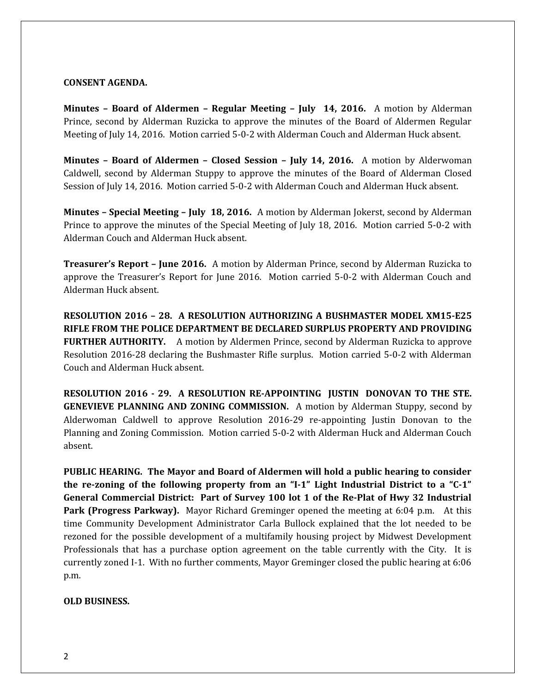#### **CONSENT AGENDA.**

**Minutes – Board of Aldermen – Regular Meeting – July 14, 2016.** A motion by Alderman Prince, second by Alderman Ruzicka to approve the minutes of the Board of Aldermen Regular Meeting of July 14, 2016. Motion carried 5-0-2 with Alderman Couch and Alderman Huck absent.

**Minutes – Board of Aldermen – Closed Session – July 14, 2016.** A motion by Alderwoman Caldwell, second by Alderman Stuppy to approve the minutes of the Board of Alderman Closed Session of July 14, 2016. Motion carried 5-0-2 with Alderman Couch and Alderman Huck absent.

**Minutes – Special Meeting – July 18, 2016.** A motion by Alderman Jokerst, second by Alderman Prince to approve the minutes of the Special Meeting of July 18, 2016. Motion carried 5-0-2 with Alderman Couch and Alderman Huck absent.

**Treasurer's Report – June 2016.** A motion by Alderman Prince, second by Alderman Ruzicka to approve the Treasurer's Report for June 2016. Motion carried 5-0-2 with Alderman Couch and Alderman Huck absent.

**RESOLUTION 2016 – 28. A RESOLUTION AUTHORIZING A BUSHMASTER MODEL XM15-E25 RIFLE FROM THE POLICE DEPARTMENT BE DECLARED SURPLUS PROPERTY AND PROVIDING FURTHER AUTHORITY.** A motion by Aldermen Prince, second by Alderman Ruzicka to approve Resolution 2016-28 declaring the Bushmaster Rifle surplus. Motion carried 5-0-2 with Alderman Couch and Alderman Huck absent.

**RESOLUTION 2016 - 29. A RESOLUTION RE-APPOINTING JUSTIN DONOVAN TO THE STE. GENEVIEVE PLANNING AND ZONING COMMISSION.** A motion by Alderman Stuppy, second by Alderwoman Caldwell to approve Resolution 2016-29 re-appointing Justin Donovan to the Planning and Zoning Commission. Motion carried 5-0-2 with Alderman Huck and Alderman Couch absent.

**PUBLIC HEARING. The Mayor and Board of Aldermen will hold a public hearing to consider the re-zoning of the following property from an "I-1" Light Industrial District to a "C-1" General Commercial District: Part of Survey 100 lot 1 of the Re-Plat of Hwy 32 Industrial Park (Progress Parkway).** Mayor Richard Greminger opened the meeting at 6:04 p.m. At this time Community Development Administrator Carla Bullock explained that the lot needed to be rezoned for the possible development of a multifamily housing project by Midwest Development Professionals that has a purchase option agreement on the table currently with the City. It is currently zoned I-1. With no further comments, Mayor Greminger closed the public hearing at 6:06 p.m.

## **OLD BUSINESS.**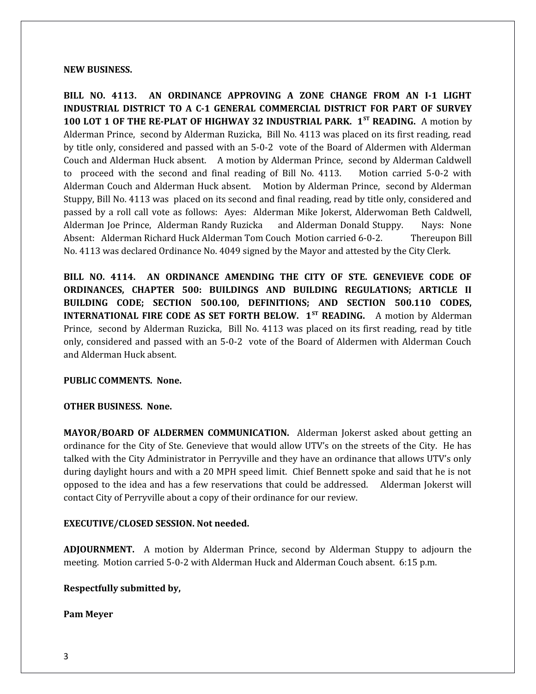#### **NEW BUSINESS.**

**BILL NO. 4113. AN ORDINANCE APPROVING A ZONE CHANGE FROM AN I-1 LIGHT INDUSTRIAL DISTRICT TO A C-1 GENERAL COMMERCIAL DISTRICT FOR PART OF SURVEY 100 LOT 1 OF THE RE-PLAT OF HIGHWAY 32 INDUSTRIAL PARK. 1ST READING.** A motion by Alderman Prince, second by Alderman Ruzicka, Bill No. 4113 was placed on its first reading, read by title only, considered and passed with an 5-0-2 vote of the Board of Aldermen with Alderman Couch and Alderman Huck absent. A motion by Alderman Prince, second by Alderman Caldwell to proceed with the second and final reading of Bill No. 4113. Motion carried 5-0-2 with Alderman Couch and Alderman Huck absent. Motion by Alderman Prince, second by Alderman Stuppy, Bill No. 4113 was placed on its second and final reading, read by title only, considered and passed by a roll call vote as follows: Ayes: Alderman Mike Jokerst, Alderwoman Beth Caldwell, Alderman Joe Prince, Alderman Randy Ruzicka and Alderman Donald Stuppy. Nays: None Absent: Alderman Richard Huck Alderman Tom Couch Motion carried 6-0-2. Thereupon Bill No. 4113 was declared Ordinance No. 4049 signed by the Mayor and attested by the City Clerk.

**BILL NO. 4114. AN ORDINANCE AMENDING THE CITY OF STE. GENEVIEVE CODE OF ORDINANCES, CHAPTER 500: BUILDINGS AND BUILDING REGULATIONS; ARTICLE II BUILDING CODE; SECTION 500.100, DEFINITIONS; AND SECTION 500.110 CODES, INTERNATIONAL FIRE CODE AS SET FORTH BELOW. 1<sup>ST</sup> READING.** A motion by Alderman Prince, second by Alderman Ruzicka, Bill No. 4113 was placed on its first reading, read by title only, considered and passed with an 5-0-2 vote of the Board of Aldermen with Alderman Couch and Alderman Huck absent.

## **PUBLIC COMMENTS. None.**

## **OTHER BUSINESS. None.**

**MAYOR/BOARD OF ALDERMEN COMMUNICATION.** Alderman Jokerst asked about getting an ordinance for the City of Ste. Genevieve that would allow UTV's on the streets of the City. He has talked with the City Administrator in Perryville and they have an ordinance that allows UTV's only during daylight hours and with a 20 MPH speed limit. Chief Bennett spoke and said that he is not opposed to the idea and has a few reservations that could be addressed. Alderman Jokerst will contact City of Perryville about a copy of their ordinance for our review.

## **EXECUTIVE/CLOSED SESSION. Not needed.**

**ADJOURNMENT.** A motion by Alderman Prince, second by Alderman Stuppy to adjourn the meeting. Motion carried 5-0-2 with Alderman Huck and Alderman Couch absent. 6:15 p.m.

## **Respectfully submitted by,**

## **Pam Meyer**